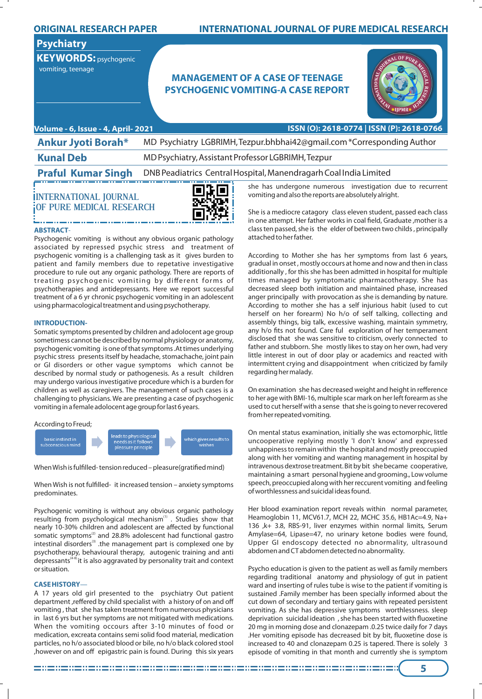## **ORIGINAL RESEARCH PAPER**

# **Psychiatry**

**KEYWORDS:** psychogenic vomiting, teenage

## **INTERNATIONAL JOURNAL OF PURE MEDICAL RESEARCH**

# **MANAGEMENT OF A CASE OF TEENAGE PSYCHOGENIC VOMITING-A CASE REPORT**



**Volume - 6, Issue - 4, April- 2021 ISSN (O): 2618-0774 | ISSN (P): 2618-0766**

| <b>Ankur Jyoti Borah*</b> | MD Psychiatry LGBRIMH, Tezpur.bhbhai42@gmail.com *Corresponding Author                      |
|---------------------------|---------------------------------------------------------------------------------------------|
| <b>Kunal Deb</b>          | MD Psychiatry, Assistant Professor LGBRIMH, Tezpur                                          |
|                           | <b>Praful Kumar Singh</b> DNB Peadiatrics Central Hospital, Manendragarh Coal India Limited |
|                           |                                                                                             |

**INTERNATIONAL JOURNAL OF PURE MEDICAL RESEARCH**



### **ABSTRACT**-

Psychogenic vomiting is without any obvious organic pathology associated by repressed psychic stress and treatment of psychogenic vomiting is a challenging task as it gives burden to patient and family members due to repetative investigative procedure to rule out any organic pathology. There are reports of treating psychogenic vomiting by different forms of psychotherapies and antidepressants. Here we report successful treatment of a 6 yr chronic psychogenic vomiting in an adolescent using pharmacological treatment and using psychotherapy.

#### **INTRODUCTION-**

Somatic symptoms presented by children and adolocent age group sometimess cannot be described by normal physiology or anatomy, psychogenic vomiting is one of that symptoms .At times underlying psychic stress presents itself by headache, stomachache, joint pain or GI disorders or other vague symptoms which cannot be described by normal study or pathogenesis. As a result children may undergo various investigative procedure which is a burden for children as well as caregivers. The management of such cases is a challenging to physicians. We are presenting a case of psychogenic vomiting in a female adolocent age group for last 6 years.

#### According to Freud;



When Wish is fulfilled-tension reduced - pleasure(gratified mind)

When Wish is not fulfilled- it increased tension – anxiety symptoms predominates.

Psychogenic vomiting is without any obvious organic pathology resulting from psychological mechanism<sup>(1)</sup>. Studies show that nearly 10-30% children and adolescent are affected by functional somatic symptoms<sup>(2)</sup> and 28.8% adolescent had functional gastro intestinal disorders<sup>(3)</sup> .the management part is complexed one by psychotherapy, behavioural therapy, autogenic training and anti depressants<sup>(4-8)</sup> it is also aggravated by personality trait and context or situation.

#### **CASE HISTORY**—

A 17 years old girl presented to the psychiatry Out patient department ,reffered by child specialist with a history of on and off vomiting , that she has taken treatment from numerous physicians in last 6 yrs but her symptoms are not mitigated with medications. When the vomiting occours after 3-10 minutes of food or medication, excreata contains semi solid food material, medication particles, no h/o associated blood or bile, no h/o black colored stool ,however on and off epigastric pain is found. During this six years she has undergone numerous investigation due to recurrent vomiting and also the reports are absolutely alright.

She is a mediocre catagory class eleven student, passed each class in one attempt. Her father works in coal field, Graduate , mother is a class ten passed, she is the elder of between two childs , principally attached to her father.

According to Mother she has her symptoms from last 6 years, gradual in onset , mostly occours at home and now and then in class additionally , for this she has been admitted in hospital for multiple times managed by symptomatic pharmacotherapy. She has decreased sleep both initiation and maintained phase, increased anger principally with provocation as she is demanding by nature. According to mother she has a self injurious habit (used to cut herself on her forearm) No h/o of self talking, collecting and assembly things, big talk, excessive washing, maintain symmetry, any h/o fits not found. Care ful exploration of her temperament disclosed that she was sensitive to criticism, overly connected to father and stubborn. She mostly likes to stay on her own, had very little interest in out of door play or academics and reacted with intermittent crying and disappointment when criticized by family regarding her malady.

On examination she has decreased weight and height in refference to her age with BMI-16, multiple scar mark on her left forearm as she used to cut herself with a sense that she is going to never recovered from her repeated vomiting.

On mental status examination, initially she was ectomorphic, little uncooperative replying mostly 'I don't know' and expressed unhappiness to remain within the hospital and mostly preoccupied along with her vomiting and wanting management in hospital by intravenous dextrose treatment. Bit by bit she became cooperative, maintaining a smart personal hygiene and grooming., Low volume speech, preoccupied along with her reccurent vomiting and feeling of worthlessness and suicidal ideas found.

Her blood examination report reveals within normal parameter, Heamoglobin 11, MCV61.7, MCH 22, MCHC 35.6, HB1Ac=4.9, Na+ 136 ,k+ 3.8, RBS-91, liver enzymes within normal limits, Serum Amylase=64, Lipase=47, no urinary ketone bodies were found, Upper GI endoscopy detected no abnormality, ultrasound abdomen and CT abdomen detected no abnormality.

Psycho education is given to the patient as well as family members regarding traditional anatomy and physiology of gut in patient ward and inserting of rules tube is wise to the patient if vomiting is sustained .Family member has been specially informed about the cut down of secondary and tertiary gains with repeated persistent vomiting. As she has depressive symptoms worthlessness. sleep deprivation suicidal ideation, she has been started with fluoxetine 20 mg in morning dose and clonazepam .0.25 twice daily for 7 days .Her vomiting episode has decreased bit by bit, fluoxetine dose is increased to 40 and clonazepam 0.25 is tapered. There is solely 3 episode of vomiting in that month and currently she is symptom

**5**